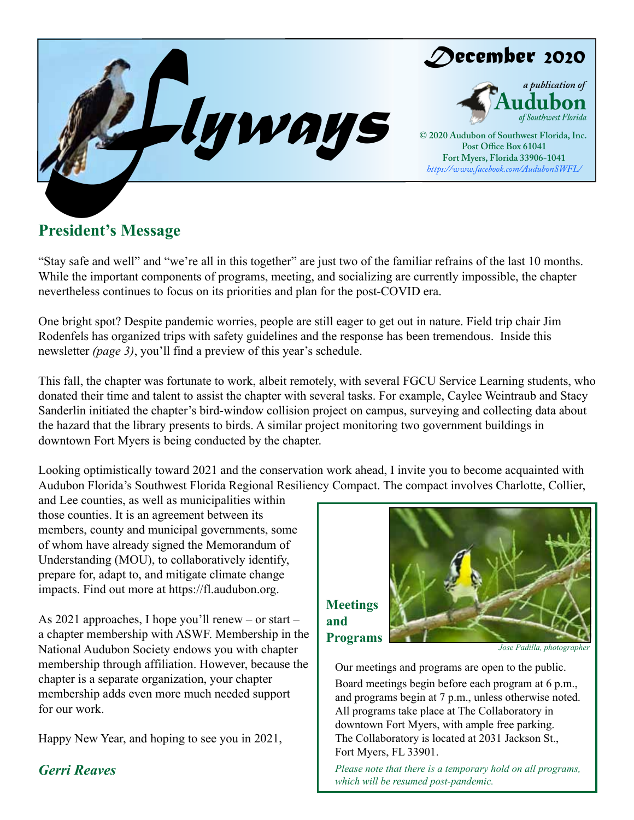

# **President's Message**

"Stay safe and well" and "we're all in this together" are just two of the familiar refrains of the last 10 months. While the important components of programs, meeting, and socializing are currently impossible, the chapter nevertheless continues to focus on its priorities and plan for the post-COVID era.

One bright spot? Despite pandemic worries, people are still eager to get out in nature. Field trip chair Jim Rodenfels has organized trips with safety guidelines and the response has been tremendous. Inside this newsletter *(page 3)*, you'll find a preview of this year's schedule.

This fall, the chapter was fortunate to work, albeit remotely, with several FGCU Service Learning students, who donated their time and talent to assist the chapter with several tasks. For example, Caylee Weintraub and Stacy Sanderlin initiated the chapter's bird-window collision project on campus, surveying and collecting data about the hazard that the library presents to birds. A similar project monitoring two government buildings in downtown Fort Myers is being conducted by the chapter.

Looking optimistically toward 2021 and the conservation work ahead, I invite you to become acquainted with Audubon Florida's Southwest Florida Regional Resiliency Compact. The compact involves Charlotte, Collier,

and Lee counties, as well as municipalities within those counties. It is an agreement between its members, county and municipal governments, some of whom have already signed the Memorandum of Understanding (MOU), to collaboratively identify, prepare for, adapt to, and mitigate climate change impacts. Find out more at https://fl.audubon.org.

As 2021 approaches, I hope you'll renew – or start – a chapter membership with ASWF. Membership in the National Audubon Society endows you with chapter membership through affiliation. However, because the chapter is a separate organization, your chapter membership adds even more much needed support for our work.

Happy New Year, and hoping to see you in 2021,

**Meetings and** 



Our meetings and programs are open to the public. Board meetings begin before each program at 6 p.m., and programs begin at 7 p.m., unless otherwise noted. All programs take place at The Collaboratory in downtown Fort Myers, with ample free parking. The Collaboratory is located at 2031 Jackson St., Fort Myers, FL 33901.

*Gerri Reaves Please note that there is a temporary hold on all programs, which will be resumed post-pandemic.*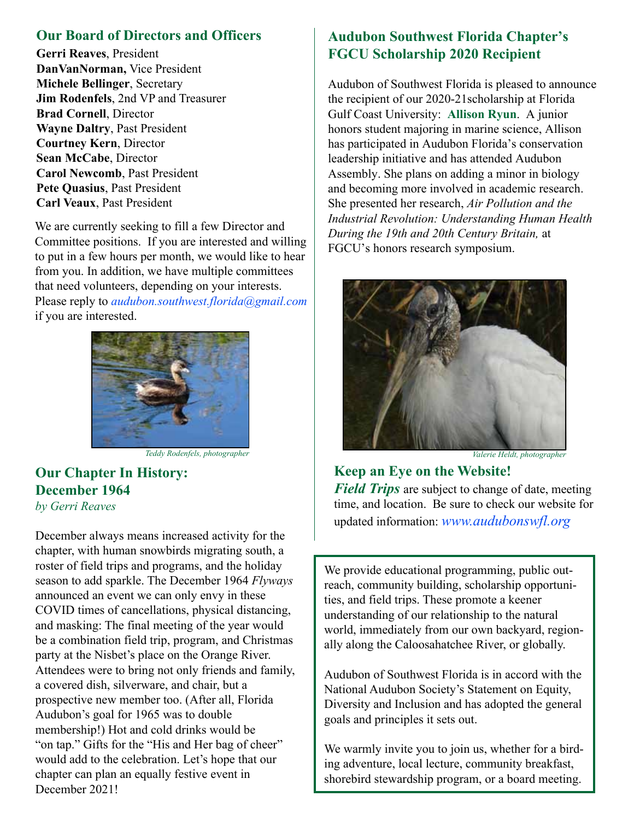### **Our Board of Directors and Officers**

**Gerri Reaves**, President **DanVanNorman,** Vice President **Michele Bellinger**, Secretary **Jim Rodenfels**, 2nd VP and Treasurer **Brad Cornell**, Director **Wayne Daltry**, Past President **Courtney Kern**, Director **Sean McCabe**, Director **Carol Newcomb**, Past President **Pete Quasius**, Past President **Carl Veaux**, Past President

We are currently seeking to fill a few Director and Committee positions. If you are interested and willing to put in a few hours per month, we would like to hear from you. In addition, we have multiple committees that need volunteers, depending on your interests. Please reply to *audubon.southwest.florida@gmail.com*  if you are interested.



*Teddy Rodenfels, photographer Valerie Heldt, photographer*

### **Our Chapter In History: December 1964** *by Gerri Reaves*

December always means increased activity for the chapter, with human snowbirds migrating south, a roster of field trips and programs, and the holiday season to add sparkle. The December 1964 *Flyways* announced an event we can only envy in these COVID times of cancellations, physical distancing, and masking: The final meeting of the year would be a combination field trip, program, and Christmas party at the Nisbet's place on the Orange River. Attendees were to bring not only friends and family, a covered dish, silverware, and chair, but a prospective new member too. (After all, Florida Audubon's goal for 1965 was to double membership!) Hot and cold drinks would be "on tap." Gifts for the "His and Her bag of cheer" would add to the celebration. Let's hope that our chapter can plan an equally festive event in December 2021!

### **Audubon Southwest Florida Chapter's FGCU Scholarship 2020 Recipient**

Audubon of Southwest Florida is pleased to announce the recipient of our 2020-21scholarship at Florida Gulf Coast University: **Allison Ryun**. A junior honors student majoring in marine science, Allison has participated in Audubon Florida's conservation leadership initiative and has attended Audubon Assembly. She plans on adding a minor in biology and becoming more involved in academic research. She presented her research, *Air Pollution and the Industrial Revolution: Understanding Human Health During the 19th and 20th Century Britain,* at FGCU's honors research symposium.



**Keep an Eye on the Website!** *Field Trips* are subject to change of date, meeting time, and location. Be sure to check our website for updated information: *www.audubonswfl.org*

We provide educational programming, public outreach, community building, scholarship opportunities, and field trips. These promote a keener understanding of our relationship to the natural world, immediately from our own backyard, regionally along the Caloosahatchee River, or globally.

Audubon of Southwest Florida is in accord with the National Audubon Society's Statement on Equity, Diversity and Inclusion and has adopted the general goals and principles it sets out.

We warmly invite you to join us, whether for a birding adventure, local lecture, community breakfast, shorebird stewardship program, or a board meeting.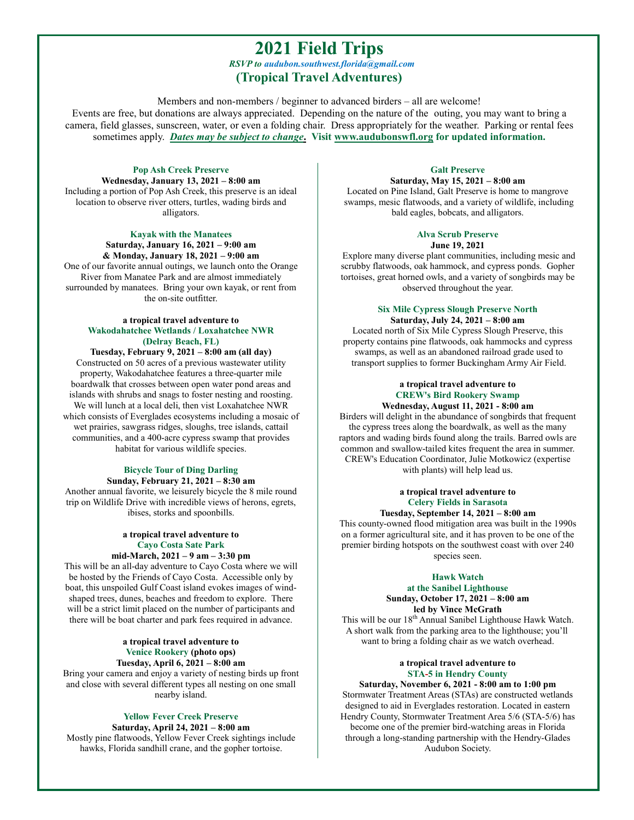### **2021 Field Trips** *RSVP to audubon.southwest.florida@gmail.com* **(Tropical Travel Adventures)**

Members and non-members / beginner to advanced birders – all are welcome! Events are free, but donations are always appreciated. Depending on the nature of the outing, you may want to bring a camera, field glasses, sunscreen, water, or even a folding chair. Dress appropriately for the weather. Parking or rental fees sometimes apply. *Dates may be subject to change***. Visit www.audubonswfl.org for updated information.**

**Pop Ash Creek Preserve Wednesday, January 13, 2021 – 8:00 am** Including a portion of Pop Ash Creek, this preserve is an ideal location to observe river otters, turtles, wading birds and alligators.

> **Kayak with the Manatees Saturday, January 16, 2021 – 9:00 am & Monday, January 18, 2021 – 9:00 am**

One of our favorite annual outings, we launch onto the Orange River from Manatee Park and are almost immediately surrounded by manatees. Bring your own kayak, or rent from the on-site outfitter.

#### **a tropical travel adventure to Wakodahatchee Wetlands / Loxahatchee NWR (Delray Beach, FL)**

**Tuesday, February 9, 2021 – 8:00 am (all day)** Constructed on 50 acres of a previous wastewater utility property, Wakodahatchee features a three-quarter mile boardwalk that crosses between open water pond areas and islands with shrubs and snags to foster nesting and roosting. We will lunch at a local deli, then vist Loxahatchee NWR which consists of Everglades ecosystems including a mosaic of wet prairies, sawgrass ridges, sloughs, tree islands, cattail communities, and a 400-acre cypress swamp that provides habitat for various wildlife species.

#### **Bicycle Tour of Ding Darling Sunday, February 21, 2021 – 8:30 am**

Another annual favorite, we leisurely bicycle the 8 mile round trip on Wildlife Drive with incredible views of herons, egrets, ibises, storks and spoonbills.

#### **a tropical travel adventure to Cayo Costa Sate Park mid-March, 2021 – 9 am – 3:30 pm**

This will be an all-day adventure to Cayo Costa where we will be hosted by the Friends of Cayo Costa. Accessible only by boat, this unspoiled Gulf Coast island evokes images of windshaped trees, dunes, beaches and freedom to explore. There will be a strict limit placed on the number of participants and there will be boat charter and park fees required in advance.

#### **a tropical travel adventure to Venice Rookery (photo ops) Tuesday, April 6, 2021 – 8:00 am**

Bring your camera and enjoy a variety of nesting birds up front and close with several different types all nesting on one small nearby island.

#### **Yellow Fever Creek Preserve**

**Saturday, April 24, 2021 – 8:00 am** Mostly pine flatwoods, Yellow Fever Creek sightings include hawks, Florida sandhill crane, and the gopher tortoise.

### **Galt Preserve**

**Saturday, May 15, 2021 – 8:00 am** Located on Pine Island, Galt Preserve is home to mangrove swamps, mesic flatwoods, and a variety of wildlife, including bald eagles, bobcats, and alligators.

#### **Alva Scrub Preserve**

### **June 19, 2021**

Explore many diverse plant communities, including mesic and scrubby flatwoods, oak hammock, and cypress ponds. Gopher tortoises, great horned owls, and a variety of songbirds may be observed throughout the year.

#### **Six Mile Cypress Slough Preserve North Saturday, July 24, 2021 – 8:00 am**

Located north of Six Mile Cypress Slough Preserve, this property contains pine flatwoods, oak hammocks and cypress swamps, as well as an abandoned railroad grade used to transport supplies to former Buckingham Army Air Field.

#### **a tropical travel adventure to CREW's Bird Rookery Swamp**

**Wednesday, August 11, 2021 - 8:00 am** Birders will delight in the abundance of songbirds that frequent the cypress trees along the boardwalk, as well as the many raptors and wading birds found along the trails. Barred owls are common and swallow-tailed kites frequent the area in summer. CREW's Education Coordinator, Julie Motkowicz (expertise with plants) will help lead us.

#### **a tropical travel adventure to Celery Fields in Sarasota**

#### **Tuesday, September 14, 2021 – 8:00 am**

This county-owned flood mitigation area was built in the 1990s on a former agricultural site, and it has proven to be one of the premier birding hotspots on the southwest coast with over 240 species seen.

#### **Hawk Watch**

#### **at the Sanibel Lighthouse Sunday, October 17, 2021 – 8:00 am led by Vince McGrath**

This will be our  $18^{th}$  Annual Sanibel Lighthouse Hawk Watch. A short walk from the parking area to the lighthouse; you'll want to bring a folding chair as we watch overhead.

#### **a tropical travel adventure to STA-5 in Hendry County**

**Saturday, November 6, 2021 - 8:00 am to 1:00 pm** Stormwater Treatment Areas (STAs) are constructed wetlands designed to aid in Everglades restoration. Located in eastern Hendry County, Stormwater Treatment Area 5/6 (STA-5/6) has become one of the premier bird-watching areas in Florida through a long-standing partnership with the Hendry-Glades Audubon Society.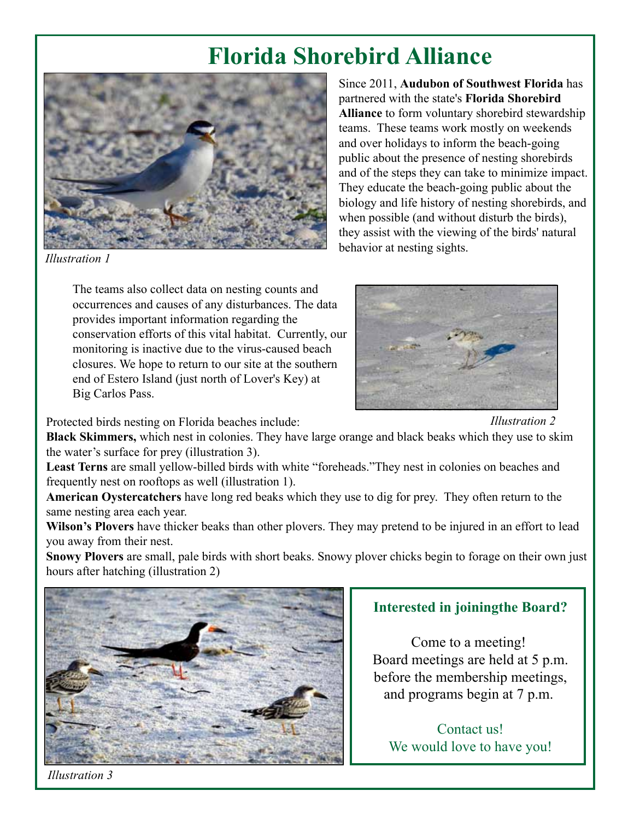# **Florida Shorebird Alliance**



Since 2011, **Audubon of Southwest Florida** has partnered with the state's **Florida Shorebird Alliance** to form voluntary shorebird stewardship teams. These teams work mostly on weekends and over holidays to inform the beach-going public about the presence of nesting shorebirds and of the steps they can take to minimize impact. They educate the beach-going public about the biology and life history of nesting shorebirds, and when possible (and without disturb the birds), they assist with the viewing of the birds' natural behavior at nesting sights.

*Illustration 1*

The teams also collect data on nesting counts and occurrences and causes of any disturbances. The data provides important information regarding the conservation efforts of this vital habitat. Currently, our monitoring is inactive due to the virus-caused beach closures. We hope to return to our site at the southern end of Estero Island (just north of Lover's Key) at Big Carlos Pass.

Protected birds nesting on Florida beaches include:

*Illustration 2*

**Black Skimmers,** which nest in colonies. They have large orange and black beaks which they use to skim the water's surface for prey (illustration 3).

**Least Terns** are small yellow-billed birds with white "foreheads."They nest in colonies on beaches and frequently nest on rooftops as well (illustration 1).

**American Oystercatchers** have long red beaks which they use to dig for prey. They often return to the same nesting area each year.

**Wilson's Plovers** have thicker beaks than other plovers. They may pretend to be injured in an effort to lead you away from their nest.

**Snowy Plovers** are small, pale birds with short beaks. Snowy plover chicks begin to forage on their own just hours after hatching (illustration 2)



### **Interested in joiningthe Board?**

Come to a meeting! Board meetings are held at 5 p.m. before the membership meetings, and programs begin at 7 p.m.

Contact us! We would love to have you!

*Illustration 3*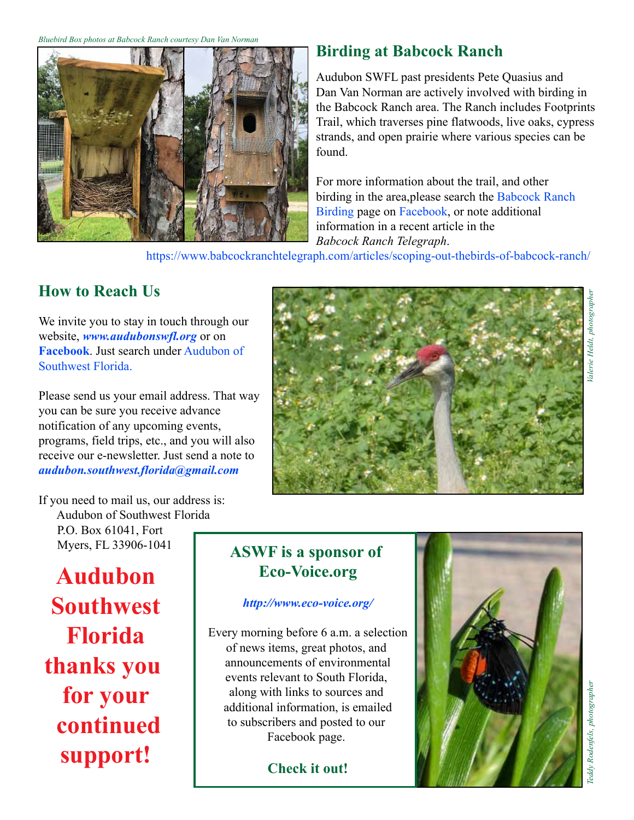*Bluebird Box photos at Babcock Ranch courtesy Dan Van Norman*



# **Birding at Babcock Ranch**

Audubon SWFL past presidents Pete Quasius and Dan Van Norman are actively involved with birding in the Babcock Ranch area. The Ranch includes Footprints Trail, which traverses pine flatwoods, live oaks, cypress strands, and open prairie where various species can be found.

For more information about the trail, and other birding in the area,please search the Babcock Ranch Birding page on Facebook, or note additional information in a recent article in the *Babcock Ranch Telegraph*.

https://www.babcockranchtelegraph.com/articles/scoping-out-thebirds-of-babcock-ranch/

# **How to Reach Us**

We invite you to stay in touch through our website, *www.audubonswfl.org* or on **Facebook**. Just search under Audubon of Southwest Florida.

Please send us your email address. That way you can be sure you receive advance notification of any upcoming events, programs, field trips, etc., and you will also receive our e-newsletter. Just send a note to *audubon.southwest.florida@gmail.com*



If you need to mail us, our address is: Audubon of Southwest Florida P.O. Box 61041, Fort

Myers, FL 33906-1041

**Audubon Southwest Florida thanks you for your continued support!**

# **ASWF is a sponsor of Eco-Voice.org**

### *http://www.eco-voice.org/*

Every morning before 6 a.m. a selection of news items, great photos, and announcements of environmental events relevant to South Florida, along with links to sources and additional information, is emailed to subscribers and posted to our Facebook page.

**Check it out!**